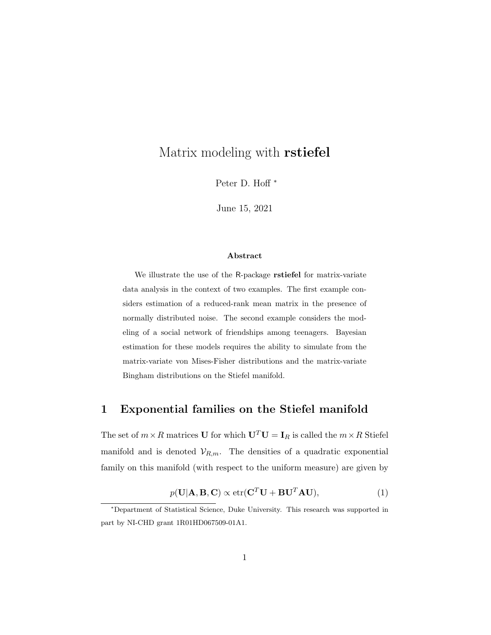# Matrix modeling with rstiefel

Peter D. Hoff <sup>∗</sup>

June 15, 2021

#### Abstract

We illustrate the use of the R-package rstiefel for matrix-variate data analysis in the context of two examples. The first example considers estimation of a reduced-rank mean matrix in the presence of normally distributed noise. The second example considers the modeling of a social network of friendships among teenagers. Bayesian estimation for these models requires the ability to simulate from the matrix-variate von Mises-Fisher distributions and the matrix-variate Bingham distributions on the Stiefel manifold.

## 1 Exponential families on the Stiefel manifold

The set of  $m\times R$  matrices  ${\bf U}$  for which  ${\bf U}^T{\bf U}={\bf I}_R$  is called the  $m\times R$  Stiefel manifold and is denoted  $V_{R,m}$ . The densities of a quadratic exponential family on this manifold (with respect to the uniform measure) are given by

<span id="page-0-0"></span>
$$
p(\mathbf{U}|\mathbf{A}, \mathbf{B}, \mathbf{C}) \propto \text{etr}(\mathbf{C}^T \mathbf{U} + \mathbf{B} \mathbf{U}^T \mathbf{A} \mathbf{U}),
$$
(1)

<sup>∗</sup>Department of Statistical Science, Duke University. This research was supported in part by NI-CHD grant 1R01HD067509-01A1.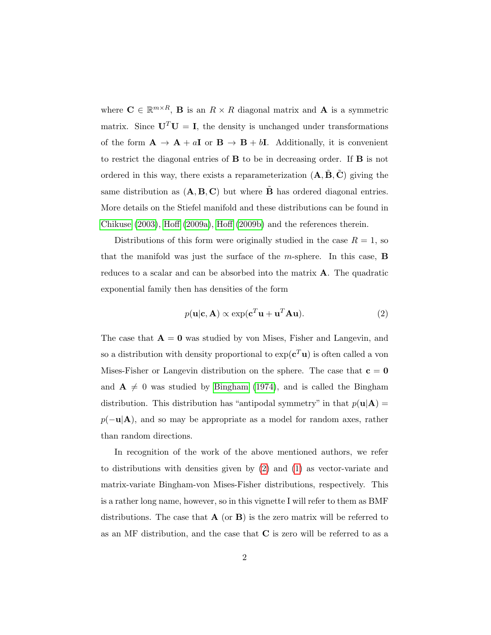where  $\mathbf{C} \in \mathbb{R}^{m \times R}$ , **B** is an  $R \times R$  diagonal matrix and **A** is a symmetric matrix. Since  $U^T U = I$ , the density is unchanged under transformations of the form  $\mathbf{A} \to \mathbf{A} + a\mathbf{I}$  or  $\mathbf{B} \to \mathbf{B} + b\mathbf{I}$ . Additionally, it is convenient to restrict the diagonal entries of B to be in decreasing order. If B is not ordered in this way, there exists a reparameterization  $(A, \tilde{B}, \tilde{C})$  giving the same distribution as  $(A, B, C)$  but where **B** has ordered diagonal entries. More details on the Stiefel manifold and these distributions can be found in [Chikuse](#page-13-0) [\(2003\)](#page-13-0), [Hoff](#page-13-1) [\(2009a\)](#page-13-1), [Hoff](#page-13-2) [\(2009b\)](#page-13-2) and the references therein.

Distributions of this form were originally studied in the case  $R = 1$ , so that the manifold was just the surface of the  $m$ -sphere. In this case, **B** reduces to a scalar and can be absorbed into the matrix A. The quadratic exponential family then has densities of the form

<span id="page-1-0"></span>
$$
p(\mathbf{u}|\mathbf{c}, \mathbf{A}) \propto \exp(\mathbf{c}^T \mathbf{u} + \mathbf{u}^T \mathbf{A} \mathbf{u}).
$$
 (2)

The case that  $A = 0$  was studied by von Mises, Fisher and Langevin, and so a distribution with density proportional to  $\exp(c^T\mathbf{u})$  is often called a von Mises-Fisher or Langevin distribution on the sphere. The case that  $c = 0$ and  $A \neq 0$  was studied by [Bingham](#page-12-0) [\(1974\)](#page-12-0), and is called the Bingham distribution. This distribution has "antipodal symmetry" in that  $p(\mathbf{u}|\mathbf{A}) =$  $p(-\mathbf{u}|\mathbf{A})$ , and so may be appropriate as a model for random axes, rather than random directions.

In recognition of the work of the above mentioned authors, we refer to distributions with densities given by [\(2\)](#page-1-0) and [\(1\)](#page-0-0) as vector-variate and matrix-variate Bingham-von Mises-Fisher distributions, respectively. This is a rather long name, however, so in this vignette I will refer to them as BMF distributions. The case that  $\bf{A}$  (or  $\bf{B}$ ) is the zero matrix will be referred to as an MF distribution, and the case that C is zero will be referred to as a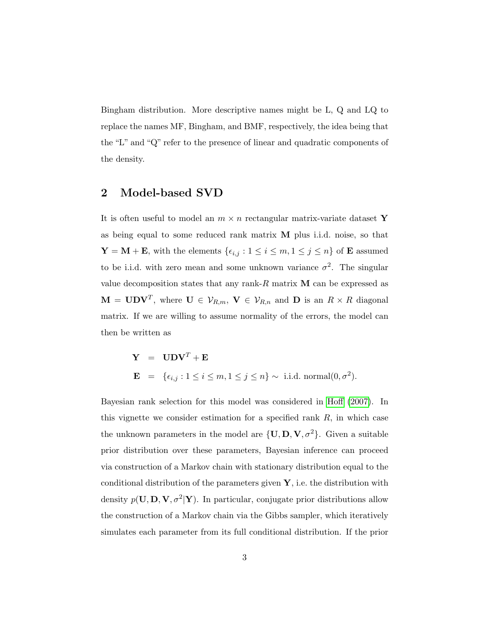Bingham distribution. More descriptive names might be L, Q and LQ to replace the names MF, Bingham, and BMF, respectively, the idea being that the "L" and "Q" refer to the presence of linear and quadratic components of the density.

## 2 Model-based SVD

It is often useful to model an  $m \times n$  rectangular matrix-variate dataset Y as being equal to some reduced rank matrix M plus i.i.d. noise, so that  $\mathbf{Y} = \mathbf{M} + \mathbf{E}$ , with the elements  $\{\epsilon_{i,j} : 1 \leq i \leq m, 1 \leq j \leq n\}$  of **E** assumed to be i.i.d. with zero mean and some unknown variance  $\sigma^2$ . The singular value decomposition states that any rank- $R$  matrix  $M$  can be expressed as  $\mathbf{M} = \mathbf{U} \mathbf{D} \mathbf{V}^T$ , where  $\mathbf{U} \in \mathcal{V}_{R,m}$ ,  $\mathbf{V} \in \mathcal{V}_{R,n}$  and  $\mathbf{D}$  is an  $R \times R$  diagonal matrix. If we are willing to assume normality of the errors, the model can then be written as

> $Y = UDV^T + E$  $\mathbf{E} = \{ \epsilon_{i,j} : 1 \leq i \leq m, 1 \leq j \leq n \} \sim \text{ i.i.d. normal}(0, \sigma^2).$

Bayesian rank selection for this model was considered in [Hoff](#page-13-3) [\(2007\)](#page-13-3). In this vignette we consider estimation for a specified rank  $R$ , in which case the unknown parameters in the model are  $\{U, D, V, \sigma^2\}$ . Given a suitable prior distribution over these parameters, Bayesian inference can proceed via construction of a Markov chain with stationary distribution equal to the conditional distribution of the parameters given  $\mathbf{Y}$ , i.e. the distribution with density  $p(\mathbf{U}, \mathbf{D}, \mathbf{V}, \sigma^2 | \mathbf{Y})$ . In particular, conjugate prior distributions allow the construction of a Markov chain via the Gibbs sampler, which iteratively simulates each parameter from its full conditional distribution. If the prior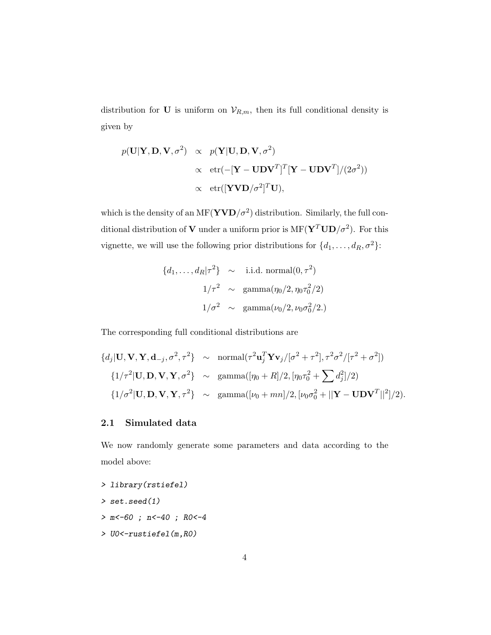distribution for U is uniform on  $V_{R,m}$ , then its full conditional density is given by

$$
p(\mathbf{U}|\mathbf{Y}, \mathbf{D}, \mathbf{V}, \sigma^2) \propto p(\mathbf{Y}|\mathbf{U}, \mathbf{D}, \mathbf{V}, \sigma^2)
$$
  
 
$$
\propto \text{etr}(-[\mathbf{Y} - \mathbf{U}\mathbf{D}\mathbf{V}^T]^T [\mathbf{Y} - \mathbf{U}\mathbf{D}\mathbf{V}^T]/(2\sigma^2))
$$
  
 
$$
\propto \text{etr}([\mathbf{Y}\mathbf{V}\mathbf{D}/\sigma^2]^T \mathbf{U}),
$$

which is the density of an  $\mathrm{MF}(\mathbf{YVD}/\sigma^2)$  distribution. Similarly, the full conditional distribution of **V** under a uniform prior is  $MF(Y^TUD/\sigma^2)$ . For this vignette, we will use the following prior distributions for  $\{d_1, \ldots, d_R, \sigma^2\}$ :

$$
\{d_1, \dots, d_R | \tau^2\} \sim \text{i.i.d. normal}(0, \tau^2)
$$

$$
1/\tau^2 \sim \text{gamma}(\eta_0/2, \eta_0 \tau_0^2/2)
$$

$$
1/\sigma^2 \sim \text{gamma}(\nu_0/2, \nu_0 \sigma_0^2/2.)
$$

The corresponding full conditional distributions are

$$
\{d_j|\mathbf{U}, \mathbf{V}, \mathbf{Y}, \mathbf{d}_{-j}, \sigma^2, \tau^2\} \sim \operatorname{normal}(\tau^2 \mathbf{u}_j^T \mathbf{Y} \mathbf{v}_j/[\sigma^2 + \tau^2], \tau^2 \sigma^2/[\tau^2 + \sigma^2])
$$
  

$$
\{1/\tau^2|\mathbf{U}, \mathbf{D}, \mathbf{V}, \mathbf{Y}, \sigma^2\} \sim \operatorname{gamma}([\eta_0 + R]/2, [\eta_0 \tau_0^2 + \sum d_j^2]/2)
$$
  

$$
\{1/\sigma^2|\mathbf{U}, \mathbf{D}, \mathbf{V}, \mathbf{Y}, \tau^2\} \sim \operatorname{gamma}([\nu_0 + mn]/2, [\nu_0 \sigma_0^2 + ||\mathbf{Y} - \mathbf{U} \mathbf{D} \mathbf{V}^T||^2]/2).
$$

## 2.1 Simulated data

We now randomly generate some parameters and data according to the model above:

> library(rstiefel) > set.seed(1) > m<-60 ; n<-40 ; R0<-4

> U0<-rustiefel(m,R0)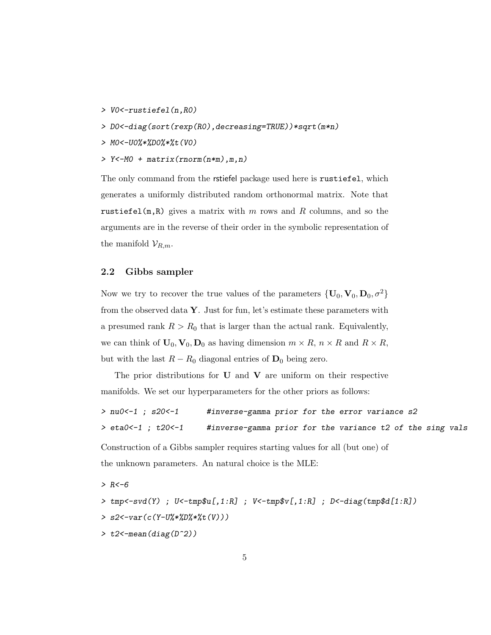- > V0<-rustiefel(n,R0)
- > D0<-diag(sort(rexp(R0),decreasing=TRUE))\*sqrt(m\*n)
- > M0<-U0%\*%D0%\*%t(V0)
- > Y<-M0 + matrix(rnorm(n\*m),m,n)

The only command from the rstiefel package used here is rustiefel, which generates a uniformly distributed random orthonormal matrix. Note that rustiefel(m,R) gives a matrix with m rows and R columns, and so the arguments are in the reverse of their order in the symbolic representation of the manifold  $\mathcal{V}_{R,m}$ .

### 2.2 Gibbs sampler

Now we try to recover the true values of the parameters  $\{U_0, V_0, D_0, \sigma^2\}$ from the observed data  $\mathbf{Y}$ . Just for fun, let's estimate these parameters with a presumed rank  $R > R_0$  that is larger than the actual rank. Equivalently, we can think of  $U_0$ ,  $V_0$ ,  $D_0$  as having dimension  $m \times R$ ,  $n \times R$  and  $R \times R$ , but with the last  $R - R_0$  diagonal entries of  $D_0$  being zero.

The prior distributions for  $U$  and  $V$  are uniform on their respective manifolds. We set our hyperparameters for the other priors as follows:

> nu0 <-1 ; s20 <-1 #inverse-gamma prior for the error variance s2 > eta0<-1 ; t20<-1 #inverse-gamma prior for the variance t2 of the sing vals Construction of a Gibbs sampler requires starting values for all (but one) of the unknown parameters. An natural choice is the MLE:  $> R < -6$ 

> tmp<-svd(Y) ; U<-tmp\$u[,1:R] ; V<-tmp\$v[,1:R] ; D<-diag(tmp\$d[1:R]) > s2<-var(c(Y-U%\*%D%\*%t(V))) > t2<-mean(diag(D^2))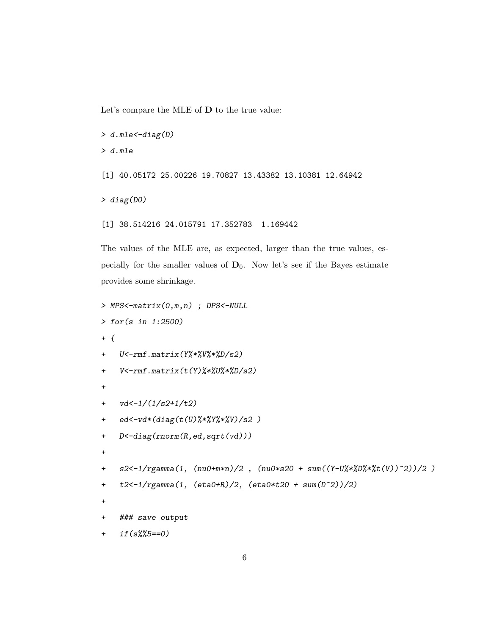Let's compare the MLE of D to the true value:

```
> d.mle < -diag(D)> d.mle
[1] 40.05172 25.00226 19.70827 13.43382 13.10381 12.64942
> diag(D0)
[1] 38.514216 24.015791 17.352783 1.169442
```
The values of the MLE are, as expected, larger than the true values, especially for the smaller values of  $D_0$ . Now let's see if the Bayes estimate provides some shrinkage.

```
> MPS<-matrix(0,m,n) ; DPS<-NULL
> for(s in 1:2500)
+ {
+ U<-rmf.matrix(Y%*%V%*%D/s2)
+ V<-rmf.matrix(t(Y)%*%U%*%D/s2)
+
+ vd <-1/(1/s2+1/t2)+ ed<-vd*(diag(t(U)%*%Y%*%V)/s2 )
+ D<-diag(rnorm(R,ed,sqrt(vd)))
+
+ s2<-1/rgamma(1, (nu0+m*n)/2, (nu0*s20 + sum((Y-U%*%D%*%t(V))^2))/2)
+ t2<-1/rgamma(1, (eta0+R)/2, (eta0*t20 + sum(D^2))/2)
+
+ ### save output
+ if(s%%5==0)
```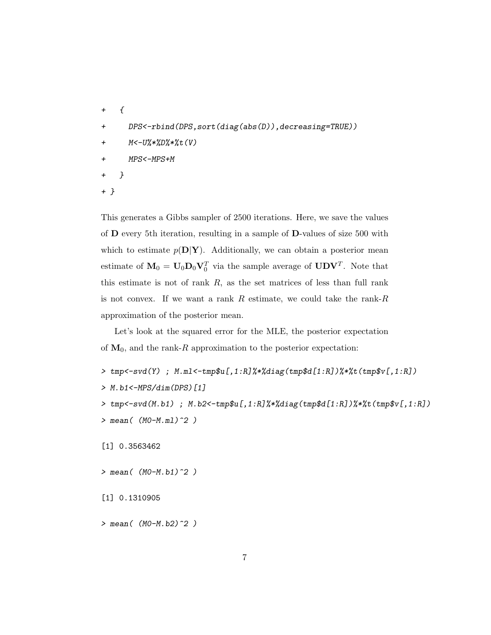- $+$   $\{$ + DPS<-rbind(DPS,sort(diag(abs(D)),decreasing=TRUE)) + M<-U%\*%D%\*%t(V) + MPS<-MPS+M + }
- + }

This generates a Gibbs sampler of 2500 iterations. Here, we save the values of D every 5th iteration, resulting in a sample of D-values of size 500 with which to estimate  $p(D|Y)$ . Additionally, we can obtain a posterior mean estimate of  $\mathbf{M}_0 = \mathbf{U}_0 \mathbf{D}_0 \mathbf{V}_0^T$  via the sample average of  $\mathbf{U} \mathbf{D} \mathbf{V}^T$ . Note that this estimate is not of rank  $R$ , as the set matrices of less than full rank is not convex. If we want a rank  $R$  estimate, we could take the rank- $R$ approximation of the posterior mean.

Let's look at the squared error for the MLE, the posterior expectation of  $M_0$ , and the rank-R approximation to the posterior expectation:

- > tmp<-svd(Y) ; M.ml<-tmp\$u[,1:R]%\*%diag(tmp\$d[1:R])%\*%t(tmp\$v[,1:R]) > M.b1<-MPS/dim(DPS)[1]
- > tmp<-svd(M.b1) ; M.b2<-tmp\$u[,1:R]%\*%diag(tmp\$d[1:R])%\*%t(tmp\$v[,1:R])
	- $>$  mean(  $(MO-M.m1)^2$  )

[1] 0.3563462

 $>$  mean(  $(MO-M.b1)^2$  )

[1] 0.1310905

 $>$  mean(  $(MO-M.b2)^2$  )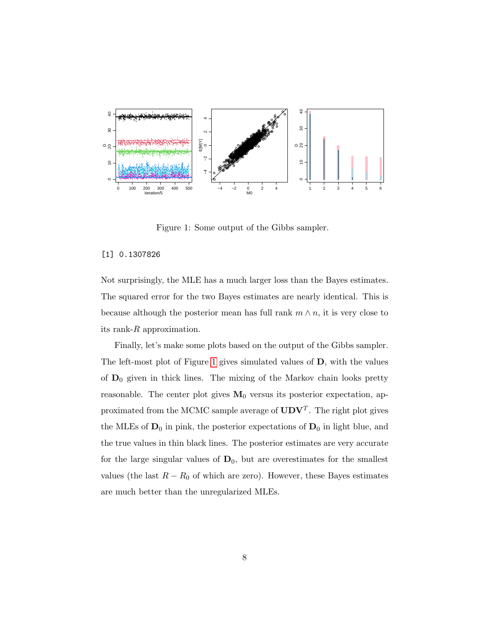

<span id="page-7-0"></span>Figure 1: Some output of the Gibbs sampler.

#### [1] 0.1307826

Not surprisingly, the MLE has a much larger loss than the Bayes estimates. The squared error for the two Bayes estimates are nearly identical. This is because although the posterior mean has full rank  $m \wedge n$ , it is very close to its rank- $R$  approximation.

Finally, let's make some plots based on the output of the Gibbs sampler. The left-most plot of Figure [1](#page-7-0) gives simulated values of D, with the values of  $D_0$  given in thick lines. The mixing of the Markov chain looks pretty reasonable. The center plot gives  $M_0$  versus its posterior expectation, approximated from the MCMC sample average of  $\text{UDV}^T$ . The right plot gives the MLEs of  $\mathbf{D}_0$  in pink, the posterior expectations of  $\mathbf{D}_0$  in light blue, and the true values in thin black lines. The posterior estimates are very accurate for the large singular values of  $D_0$ , but are overestimates for the smallest values (the last  $R - R_0$  of which are zero). However, these Bayes estimates are much better than the unregularized MLEs.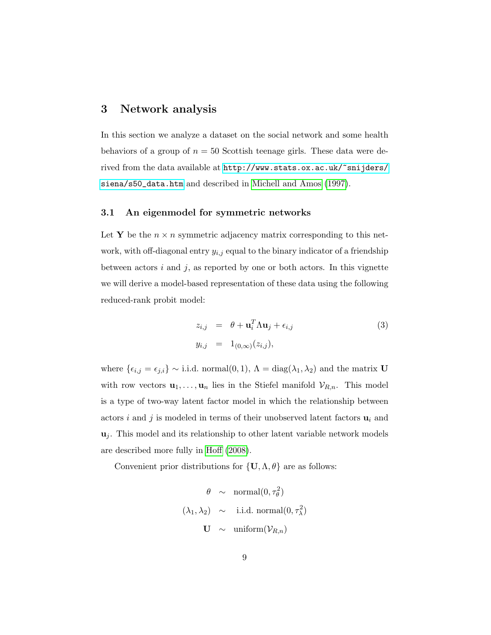## 3 Network analysis

In this section we analyze a dataset on the social network and some health behaviors of a group of  $n = 50$  Scottish teenage girls. These data were derived from the data available at [http://www.stats.ox.ac.uk/~snijders/](http://www.stats.ox.ac.uk/~snijders/siena/s50_data.htm) [siena/s50\\_data.htm](http://www.stats.ox.ac.uk/~snijders/siena/s50_data.htm) and described in [Michell and Amos](#page-14-0) [\(1997\)](#page-14-0).

### 3.1 An eigenmodel for symmetric networks

Let Y be the  $n \times n$  symmetric adjacency matrix corresponding to this network, with off-diagonal entry  $y_{i,j}$  equal to the binary indicator of a friendship between actors  $i$  and  $j$ , as reported by one or both actors. In this vignette we will derive a model-based representation of these data using the following reduced-rank probit model:

<span id="page-8-0"></span>
$$
z_{i,j} = \theta + \mathbf{u}_i^T \Lambda \mathbf{u}_j + \epsilon_{i,j}
$$
  
\n
$$
y_{i,j} = 1_{(0,\infty)}(z_{i,j}),
$$
\n(3)

where  $\{\epsilon_{i,j} = \epsilon_{j,i}\}\sim$  i.i.d. normal $(0, 1)$ ,  $\Lambda = \text{diag}(\lambda_1, \lambda_2)$  and the matrix U with row vectors  $\mathbf{u}_1, \ldots, \mathbf{u}_n$  lies in the Stiefel manifold  $\mathcal{V}_{R,n}$ . This model is a type of two-way latent factor model in which the relationship between actors i and j is modeled in terms of their unobserved latent factors  $\mathbf{u}_i$  and  $\mathbf{u}_i$ . This model and its relationship to other latent variable network models are described more fully in [Hoff](#page-13-4) [\(2008\)](#page-13-4).

Convenient prior distributions for  $\{U, \Lambda, \theta\}$  are as follows:

$$
\theta \sim \text{normal}(0, \tau_{\theta}^2)
$$
  
\n $(\lambda_1, \lambda_2) \sim \text{i.i.d. normal}(0, \tau_{\lambda}^2)$   
\n $\mathbf{U} \sim \text{uniform}(\mathcal{V}_{R,n})$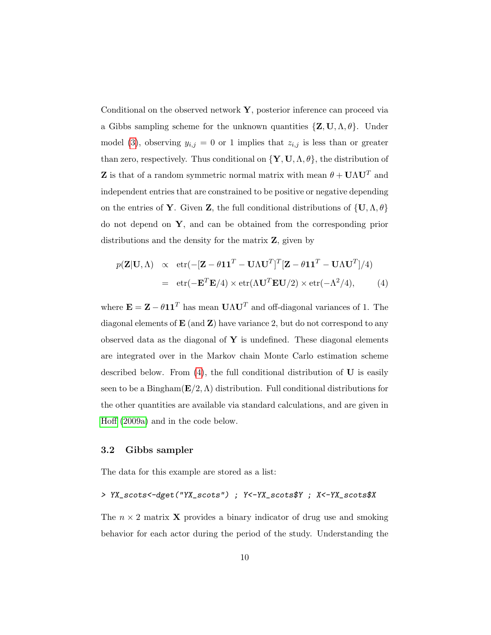Conditional on the observed network  $\mathbf{Y}$ , posterior inference can proceed via a Gibbs sampling scheme for the unknown quantities  $\{Z, U, \Lambda, \theta\}$ . Under model [\(3\)](#page-8-0), observing  $y_{i,j} = 0$  or 1 implies that  $z_{i,j}$  is less than or greater than zero, respectively. Thus conditional on  $\{Y, U, \Lambda, \theta\}$ , the distribution of **Z** is that of a random symmetric normal matrix with mean  $\theta + \mathbf{U}\Lambda\mathbf{U}^T$  and independent entries that are constrained to be positive or negative depending on the entries of **Y**. Given **Z**, the full conditional distributions of  $\{U, \Lambda, \theta\}$ do not depend on Y, and can be obtained from the corresponding prior distributions and the density for the matrix  $Z$ , given by

<span id="page-9-0"></span>
$$
p(\mathbf{Z}|\mathbf{U},\Lambda) \propto \text{etr}(-[\mathbf{Z} - \theta \mathbf{1}\mathbf{1}^T - \mathbf{U}\Lambda \mathbf{U}^T]^T [\mathbf{Z} - \theta \mathbf{1}\mathbf{1}^T - \mathbf{U}\Lambda \mathbf{U}^T]/4)
$$
  
= 
$$
\text{etr}(-\mathbf{E}^T \mathbf{E}/4) \times \text{etr}(\Lambda \mathbf{U}^T \mathbf{E} \mathbf{U}/2) \times \text{etr}(-\Lambda^2/4),
$$
 (4)

where  $\mathbf{E} = \mathbf{Z} - \theta \mathbf{1} \mathbf{1}^T$  has mean  $\mathbf{U} \Lambda \mathbf{U}^T$  and off-diagonal variances of 1. The diagonal elements of  $E$  (and  $Z$ ) have variance 2, but do not correspond to any observed data as the diagonal of  $\mathbf Y$  is undefined. These diagonal elements are integrated over in the Markov chain Monte Carlo estimation scheme described below. From  $(4)$ , the full conditional distribution of  $\bf{U}$  is easily seen to be a Bingham( $\mathbf{E}/2$ ,  $\Lambda$ ) distribution. Full conditional distributions for the other quantities are available via standard calculations, and are given in [Hoff](#page-13-1) [\(2009a\)](#page-13-1) and in the code below.

### 3.2 Gibbs sampler

The data for this example are stored as a list:

> YX\_scots<-dget("YX\_scots") ; Y<-YX\_scots\$Y ; X<-YX\_scots\$X

The  $n \times 2$  matrix **X** provides a binary indicator of drug use and smoking behavior for each actor during the period of the study. Understanding the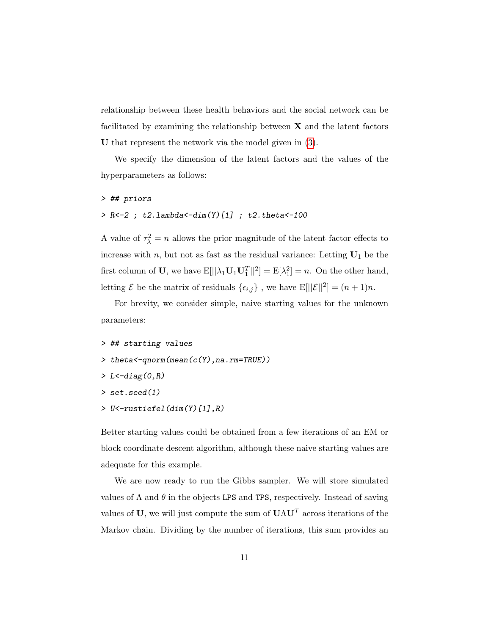relationship between these health behaviors and the social network can be facilitated by examining the relationship between  $X$  and the latent factors U that represent the network via the model given in [\(3\)](#page-8-0).

We specify the dimension of the latent factors and the values of the hyperparameters as follows:

### > ## priors

### > R<-2 ; t2.lambda<-dim(Y)[1] ; t2.theta<-100

A value of  $\tau_{\lambda}^2 = n$  allows the prior magnitude of the latent factor effects to increase with n, but not as fast as the residual variance: Letting  $U_1$  be the first column of **U**, we have  $E[||\lambda_1 \mathbf{U}_1 \mathbf{U}_1^T||^2] = E[\lambda_1^2] = n$ . On the other hand, letting  $\mathcal E$  be the matrix of residuals  $\{\epsilon_{i,j}\}\,$ , we have  $\mathbb E[||\mathcal E||^2] = (n+1)n$ .

For brevity, we consider simple, naive starting values for the unknown parameters:

```
> ## starting values
```
- > theta<-qnorm(mean(c(Y),na.rm=TRUE))
- $> L < -diag(0, R)$
- > set.seed(1)
- > U<-rustiefel(dim(Y)[1],R)

Better starting values could be obtained from a few iterations of an EM or block coordinate descent algorithm, although these naive starting values are adequate for this example.

We are now ready to run the Gibbs sampler. We will store simulated values of  $\Lambda$  and  $\theta$  in the objects LPS and TPS, respectively. Instead of saving values of U, we will just compute the sum of  $\mathbf{U}\Lambda\mathbf{U}^T$  across iterations of the Markov chain. Dividing by the number of iterations, this sum provides an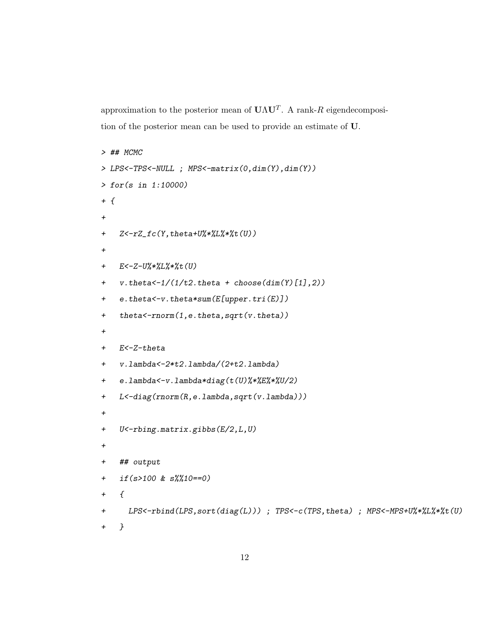approximation to the posterior mean of  $\mathbf{U}\Lambda\mathbf{U}^T$ . A rank-R eigendecomposition of the posterior mean can be used to provide an estimate of U.

```
> ## MCMC
> LPS<-TPS<-NULL ; MPS<-matrix(0,dim(Y),dim(Y))
> for(s in 1:10000)
+ f+
+ Z<-rZ_fc(Y,theta+U%*%L%*%t(U))
+
+ E<-Z-U%*%L%*%t(U)
+ v. theta\lt-1/(1/t2. theta + choose(\dim(Y)[1], 2))+ e.theta<-v.theta*sum(E[upper.tri(E)])
+ theta<-rnorm(1,e.theta,sqrt(v.theta))
+
+ E<-Z-theta
+ v.lambda<-2*t2.lambda/(2+t2.lambda)
+ e.lambda<-v.lambda*diag(t(U)%*%E%*%U/2)
+ L<-diag(rnorm(R,e.lambda,sqrt(v.lambda)))
+
+ U<-rbing.matrix.gibbs(E/2,L,U)
+
+ ## output
+ if(s>100 & s%%10==0)
+ {
+ LPS<-rbind(LPS,sort(diag(L))) ; TPS<-c(TPS,theta) ; MPS<-MPS+U%*%L%*%t(U)
+ }
```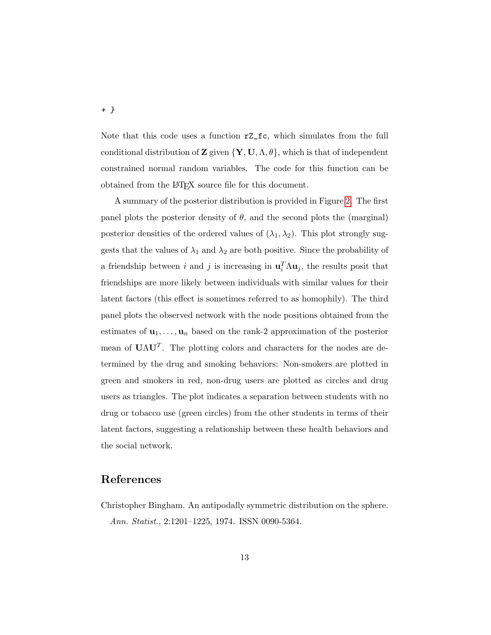Note that this code uses a function rZ\_fc, which simulates from the full conditional distribution of **Z** given  $\{Y, U, \Lambda, \theta\}$ , which is that of independent constrained normal random variables. The code for this function can be obtained from the LATEX source file for this document.

A summary of the posterior distribution is provided in Figure [2.](#page-13-5) The first panel plots the posterior density of  $\theta$ , and the second plots the (marginal) posterior densities of the ordered values of  $(\lambda_1, \lambda_2)$ . This plot strongly suggests that the values of  $\lambda_1$  and  $\lambda_2$  are both positive. Since the probability of a friendship between i and j is increasing in  $\mathbf{u}_i^T \Lambda \mathbf{u}_j$ , the results posit that friendships are more likely between individuals with similar values for their latent factors (this effect is sometimes referred to as homophily). The third panel plots the observed network with the node positions obtained from the estimates of  $\mathbf{u}_1, \ldots, \mathbf{u}_n$  based on the rank-2 approximation of the posterior mean of  $U\Lambda U^{T}$ . The plotting colors and characters for the nodes are determined by the drug and smoking behaviors: Non-smokers are plotted in green and smokers in red, non-drug users are plotted as circles and drug users as triangles. The plot indicates a separation between students with no drug or tobacco use (green circles) from the other students in terms of their latent factors, suggesting a relationship between these health behaviors and the social network.

## References

<span id="page-12-0"></span>Christopher Bingham. An antipodally symmetric distribution on the sphere. Ann. Statist., 2:1201–1225, 1974. ISSN 0090-5364.

+ }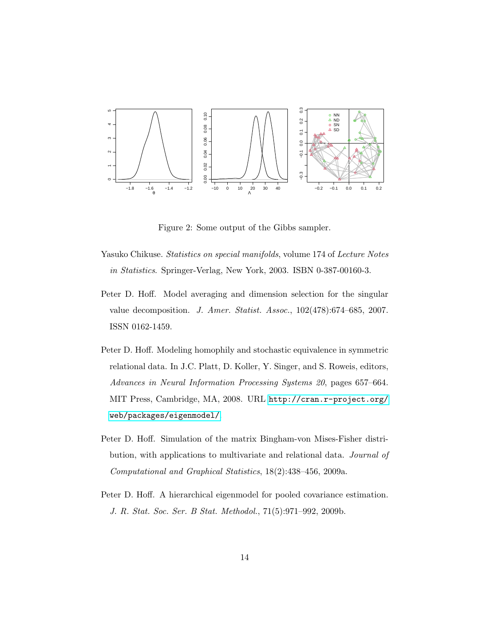

<span id="page-13-5"></span>Figure 2: Some output of the Gibbs sampler.

- <span id="page-13-0"></span>Yasuko Chikuse. Statistics on special manifolds, volume 174 of Lecture Notes in Statistics. Springer-Verlag, New York, 2003. ISBN 0-387-00160-3.
- <span id="page-13-3"></span>Peter D. Hoff. Model averaging and dimension selection for the singular value decomposition. J. Amer. Statist. Assoc., 102(478):674–685, 2007. ISSN 0162-1459.
- <span id="page-13-4"></span>Peter D. Hoff. Modeling homophily and stochastic equivalence in symmetric relational data. In J.C. Platt, D. Koller, Y. Singer, and S. Roweis, editors, Advances in Neural Information Processing Systems 20, pages 657–664. MIT Press, Cambridge, MA, 2008. URL [http://cran.r-project.org/](http://cran.r-project.org/web/packages/eigenmodel/) [web/packages/eigenmodel/](http://cran.r-project.org/web/packages/eigenmodel/).
- <span id="page-13-1"></span>Peter D. Hoff. Simulation of the matrix Bingham-von Mises-Fisher distribution, with applications to multivariate and relational data. Journal of Computational and Graphical Statistics, 18(2):438–456, 2009a.
- <span id="page-13-2"></span>Peter D. Hoff. A hierarchical eigenmodel for pooled covariance estimation. J. R. Stat. Soc. Ser. B Stat. Methodol., 71(5):971–992, 2009b.